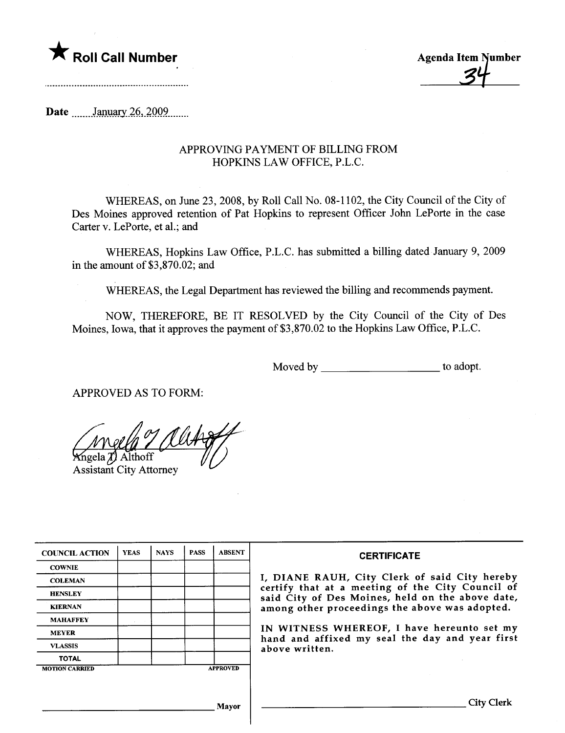

**Agenda Item Number** 

Date  $\frac{\text{January }26,2009}{\text{January }26}$ 

## APPROVING PAYMENT OF BILLING FROM HOPKINS LAW OFFICE, P.L.C.

WHEREAS, on June 23, 2008, by Roll Call No. 08-1102, the City Council of the City of Des Moines approved retention of Pat Hopkins to represent Officer John LePorte in the case Carter v. LePorte, et al.; and

WHEREAS, Hopkins Law Office, P.L.C. has submitted a billing dated January 9, 2009 in the amount of \$3,870.02; and

WHEREAS, the Legal Deparment has reviewed the biling and recommends payment.

NOW, THEREFORE, BE IT RESOLVED by the City Council of the City of Des Moines, Iowa, that it approves the payment of \$3,870.02 to the Hopkins Law Office, P.L.C.

Moved by \_\_\_\_\_\_\_\_\_\_\_\_\_\_\_\_\_\_\_\_\_\_\_\_\_\_\_\_\_\_\_\_to adopt.

APPROVED AS TO FORM:

 $\frac{M}{4}$   $\frac{M}{4}$ 

geia *aj* Altholl Assistant City Attorney

| <b>COUNCIL ACTION</b> | <b>YEAS</b> | <b>NAYS</b> | <b>PASS</b> | <b>ABSENT</b>   | <b>CERTIFICATE</b>                                                                                   |
|-----------------------|-------------|-------------|-------------|-----------------|------------------------------------------------------------------------------------------------------|
| <b>COWNIE</b>         |             |             |             |                 |                                                                                                      |
| <b>COLEMAN</b>        |             |             |             |                 | I, DIANE RAUH, City Clerk of said City hereby                                                        |
| <b>HENSLEY</b>        |             |             |             |                 | certify that at a meeting of the City Council of<br>said City of Des Moines, held on the above date, |
| <b>KIERNAN</b>        |             |             |             |                 | among other proceedings the above was adopted.                                                       |
| <b>MAHAFFEY</b>       |             |             |             |                 |                                                                                                      |
| <b>MEYER</b>          |             |             |             |                 | IN WITNESS WHEREOF, I have hereunto set my<br>hand and affixed my seal the day and year first        |
| <b>VLASSIS</b>        |             |             |             |                 | above written.                                                                                       |
| <b>TOTAL</b>          |             |             |             |                 |                                                                                                      |
| <b>MOTION CARRIED</b> |             |             |             | <b>APPROVED</b> |                                                                                                      |
|                       |             |             |             |                 |                                                                                                      |
|                       |             |             |             | Mayor           | <b>City Clerk</b>                                                                                    |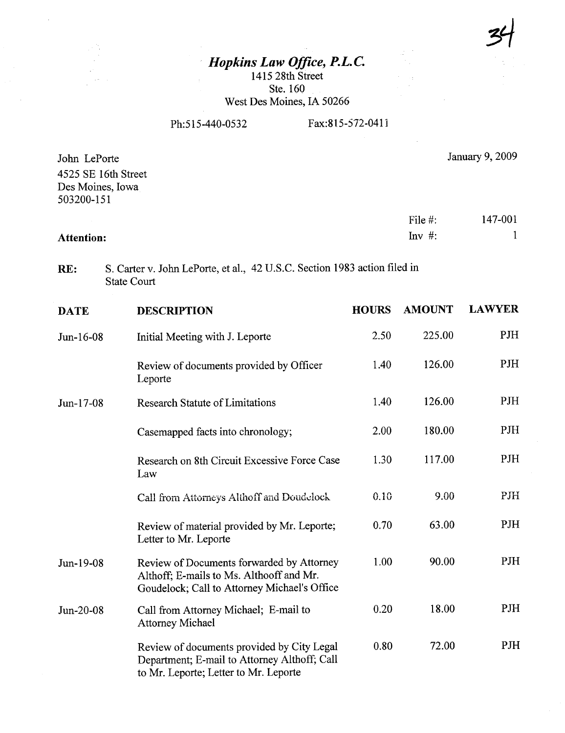34

## Hopkins Law Office, P.L. C.

1415 28th Street Ste. 160 West Des Moines, IA 50266

Ph:515-440-0532 Fax:815-572-0411

| John LePorte<br>4525 SE 16th Street<br>Des Moines, Iowa<br>503200-151 |                                                                                                                                       |              |                        | January 9, 2009 |
|-----------------------------------------------------------------------|---------------------------------------------------------------------------------------------------------------------------------------|--------------|------------------------|-----------------|
| <b>Attention:</b>                                                     |                                                                                                                                       |              | File $#$ :<br>$Inv$ #: | 147-001<br>1    |
| RE:                                                                   | S. Carter v. John LePorte, et al., 42 U.S.C. Section 1983 action filed in<br><b>State Court</b>                                       |              |                        |                 |
| <b>DATE</b>                                                           | <b>DESCRIPTION</b>                                                                                                                    | <b>HOURS</b> | <b>AMOUNT</b>          | <b>LAWYER</b>   |
| Jun-16-08                                                             | Initial Meeting with J. Leporte                                                                                                       | 2.50         | 225.00                 | PJH             |
|                                                                       | Review of documents provided by Officer<br>Leporte                                                                                    | 1.40         | 126.00                 | <b>PJH</b>      |
| Jun-17-08                                                             | <b>Research Statute of Limitations</b>                                                                                                | 1.40         | 126.00                 | <b>PJH</b>      |
|                                                                       | Casemapped facts into chronology;                                                                                                     | 2.00         | 180.00                 | PJH             |
|                                                                       | Research on 8th Circuit Excessive Force Case<br>Law                                                                                   | 1.30         | 117.00                 | <b>PJH</b>      |
|                                                                       | Call from Attorneys Althoff and Doudelock                                                                                             | 0.10         | 9.00                   | PJH             |
|                                                                       | Review of material provided by Mr. Leporte;<br>Letter to Mr. Leporte                                                                  | 0.70         | 63.00                  | PJH             |
| Jun-19-08                                                             | Review of Documents forwarded by Attorney<br>Althoff; E-mails to Ms. Althooff and Mr.<br>Goudelock; Call to Attorney Michael's Office | 1.00         | 90.00                  | PJH             |
| Jun-20-08                                                             | Call from Attorney Michael; E-mail to<br><b>Attorney Michael</b>                                                                      | 0.20         | 18.00                  | PJH             |
|                                                                       | Review of documents provided by City Legal<br>Department; E-mail to Attorney Althoff; Call<br>to Mr. Leporte; Letter to Mr. Leporte   | 0.80         | 72.00                  | <b>PJH</b>      |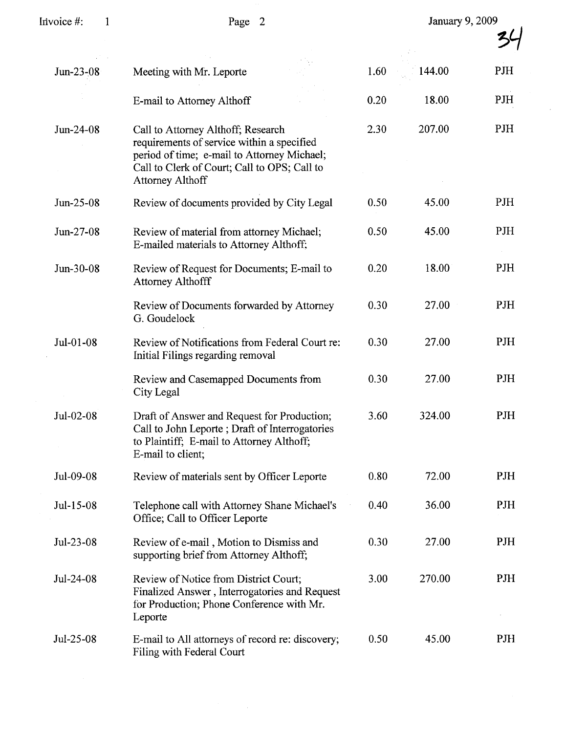| Invoice #:<br>1 | Page 2                                                                                                                                                                                                     |      | January 9, 2009 |     |  |
|-----------------|------------------------------------------------------------------------------------------------------------------------------------------------------------------------------------------------------------|------|-----------------|-----|--|
|                 |                                                                                                                                                                                                            |      |                 |     |  |
| Jun-23-08       | Meeting with Mr. Leporte                                                                                                                                                                                   | 1.60 | 144.00          | PJH |  |
|                 | E-mail to Attorney Althoff                                                                                                                                                                                 | 0.20 | 18.00           | PJH |  |
| Jun-24-08       | Call to Attorney Althoff; Research<br>requirements of service within a specified<br>period of time; e-mail to Attorney Michael;<br>Call to Clerk of Court; Call to OPS; Call to<br><b>Attorney Althoff</b> | 2.30 | 207.00          | PJH |  |
| Jun-25-08       | Review of documents provided by City Legal                                                                                                                                                                 | 0.50 | 45.00           | PJH |  |
| Jun-27-08       | Review of material from attorney Michael;<br>E-mailed materials to Attorney Althoff;                                                                                                                       | 0.50 | 45.00           | PJH |  |
| Jun-30-08       | Review of Request for Documents; E-mail to<br><b>Attorney Althofff</b>                                                                                                                                     | 0.20 | 18.00           | PJH |  |
|                 | Review of Documents forwarded by Attorney<br>G. Goudelock                                                                                                                                                  | 0.30 | 27.00           | PJH |  |
| Jul-01-08       | Review of Notifications from Federal Court re:<br>Initial Filings regarding removal                                                                                                                        | 0.30 | 27.00           | PJH |  |
|                 | Review and Casemapped Documents from<br>City Legal                                                                                                                                                         | 0.30 | 27.00           | PJH |  |
| Jul-02-08       | Draft of Answer and Request for Production;<br>Call to John Leporte ; Draft of Interrogatories<br>to Plaintiff; E-mail to Attorney Althoff;<br>E-mail to client;                                           | 3.60 | 324.00          | PJH |  |
| Jul-09-08       | Review of materials sent by Officer Leporte                                                                                                                                                                | 0.80 | 72.00           | PJH |  |
| Jul-15-08       | Telephone call with Attorney Shane Michael's<br>Office; Call to Officer Leporte                                                                                                                            | 0.40 | 36.00           | PJH |  |
| Jul-23-08       | Review of e-mail, Motion to Dismiss and<br>supporting brief from Attorney Althoff;                                                                                                                         | 0.30 | 27.00           | PJH |  |
| Jul-24-08       | Review of Notice from District Court;<br>Finalized Answer, Interrogatories and Request<br>for Production; Phone Conference with Mr.<br>Leporte                                                             | 3.00 | 270.00          | PJH |  |
| Jul-25-08       | E-mail to All attorneys of record re: discovery;<br>Filing with Federal Court                                                                                                                              | 0.50 | 45.00           | PJH |  |

 $\mathcal{A}^{\mathcal{A}}$ 

 $\mathbb{Z}^2$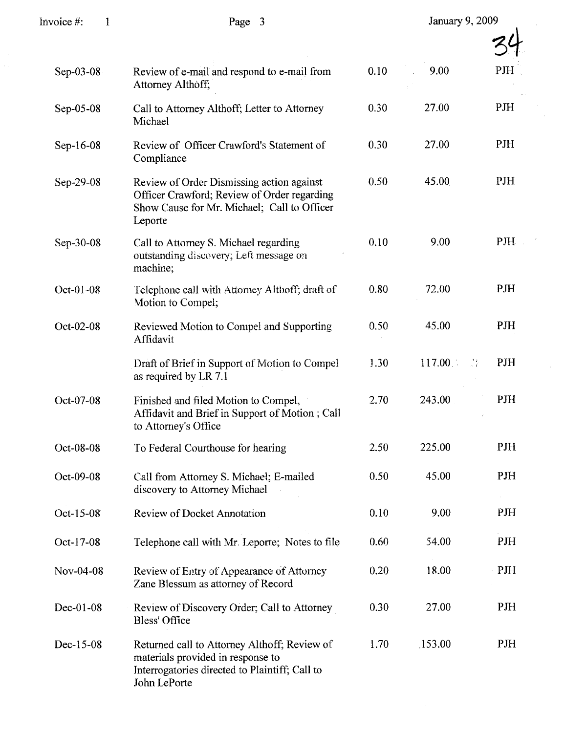| Invoice #:<br>$\mathbf{1}$ | Page 3                                                                                                                                              |      | January 9, 2009    |            |  |
|----------------------------|-----------------------------------------------------------------------------------------------------------------------------------------------------|------|--------------------|------------|--|
|                            |                                                                                                                                                     |      |                    |            |  |
| Sep-03-08                  | Review of e-mail and respond to e-mail from<br>Attorney Althoff;                                                                                    | 0.10 | 9.00               | PJH        |  |
| Sep-05-08                  | Call to Attorney Althoff; Letter to Attorney<br>Michael                                                                                             | 0.30 | 27.00              | PJH        |  |
| Sep-16-08                  | Review of Officer Crawford's Statement of<br>Compliance                                                                                             | 0.30 | 27.00              | PJH        |  |
| Sep-29-08                  | Review of Order Dismissing action against<br>Officer Crawford; Review of Order regarding<br>Show Cause for Mr. Michael; Call to Officer<br>Leporte  | 0.50 | 45.00              | PJH        |  |
| Sep-30-08                  | Call to Attorney S. Michael regarding<br>outstanding discovery; Left message on<br>machine;                                                         | 0.10 | 9.00               | <b>PJH</b> |  |
| Oct-01-08                  | Telephone call with Attorney Althoff; draft of<br>Motion to Compel;                                                                                 | 0.80 | 72.00              | PJH        |  |
| Oct-02-08                  | Reviewed Motion to Compel and Supporting<br>Affidavit                                                                                               | 0.50 | 45.00              | PJH        |  |
|                            | Draft of Brief in Support of Motion to Compel<br>as required by LR 7.1                                                                              | 1.30 | 117.00<br>√.<br>XX | PJH        |  |
| Oct-07-08                  | Finished and filed Motion to Compel,<br>Affidavit and Brief in Support of Motion; Call<br>to Attorney's Office                                      | 2.70 | 243.00             | PJH        |  |
| Oct-08-08                  | To Federal Courthouse for hearing                                                                                                                   | 2.50 | 225.00             | <b>PJH</b> |  |
| Oct-09-08                  | Call from Attorney S. Michael; E-mailed<br>discovery to Attorney Michael                                                                            | 0.50 | 45.00              | PJH        |  |
| Oct-15-08                  | <b>Review of Docket Annotation</b>                                                                                                                  | 0.10 | 9.00               | PJH        |  |
| Oct-17-08                  | Telephone call with Mr. Leporte; Notes to file                                                                                                      | 0.60 | 54.00              | PJH        |  |
| Nov-04-08                  | Review of Entry of Appearance of Attorney<br>Zane Blessum as attorney of Record                                                                     | 0.20 | 18.00              | PJH        |  |
| Dec-01-08                  | Review of Discovery Order; Call to Attorney<br>Bless' Office                                                                                        | 0.30 | 27.00              | <b>PJH</b> |  |
| Dec-15-08                  | Returned call to Attorney Althoff; Review of<br>materials provided in response to<br>Interrogatories directed to Plaintiff; Call to<br>John LePorte | 1.70 | 153.00             | PJH        |  |

 $\hat{\boldsymbol{\epsilon}}$ 

 $\frac{1}{\sqrt{2}}$